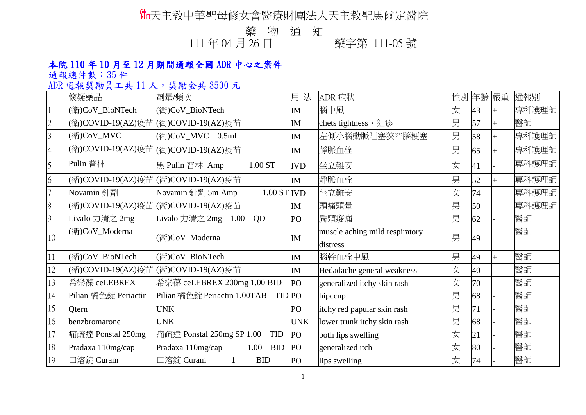## 天主教中華聖母修女會醫療財團法人天主教聖馬爾定醫院

## 藥 物 通 知

年 04 月 26 日 藥字第 111-05 號

## 本院 110 年 10 月至 12 月期間通報全國 ADR 中心之案件

通報總件數:35 件

## ADR 通報獎勵員工共11人,獎勵金共 3500元

|    | 懷疑藥品                 | 劑量/頻次                                                    | 用<br>法     | ADR 症狀                         |   | 性別 年齡 嚴重 | 通報別   |
|----|----------------------|----------------------------------------------------------|------------|--------------------------------|---|----------|-------|
|    | (衛)CoV_BioNTech      | (衛)CoV_BioNTech                                          | IM         | 腦中風                            | 女 | 43       | 專科護理師 |
|    |                      | (衛)COVID-19(AZ)疫苗 (衛)COVID-19(AZ)疫苗                      | <b>IM</b>  | chets tightness、紅疹             | 男 | 57       | 醫師    |
| 3  | (衛)CoV_MVC           | (衛)CoV_MVC 0.5ml                                         | <b>IM</b>  | 左側小腦動脈阻塞狹窄腦梗塞                  | 男 | 58       | 專科護理師 |
| 4  |                      | (衛)COVID-19(AZ)疫苗 (衛)COVID-19(AZ)疫苗                      | <b>IM</b>  | 靜脈血栓                           | 男 | 65       | 專科護理師 |
| 5  | Pulin 普林             | 黑 Pulin 普林 Amp<br>1.00 ST                                | <b>IVD</b> | 坐立難安                           | 女 | 41       | 專科護理師 |
| 6  |                      | (衛)COVID-19(AZ)疫苗 (衛)COVID-19(AZ)疫苗                      | IM         | 靜脈血栓                           | 男 | 52       | 專科護理師 |
|    | Novamin 針劑           | Novamin 針劑 5m Amp<br>$1.00$ ST $ IVD$                    |            | 坐立難安                           | 女 | 74       | 專科護理師 |
| 8  |                      | (衛)COVID-19(AZ)疫苗 (衛)COVID-19(AZ)疫苗                      | <b>IM</b>  | 頭痛頭暈                           | 男 | 50       | 專科護理師 |
| 9  | Livalo 力清之 2mg       | Livalo 力清之 $2mg$ 1.00<br><b>OD</b>                       | PO         | 肩頸痠痛                           | 男 | 62       | 醫師    |
| 10 | (衛)CoV_Moderna       | (衛)CoV_Moderna                                           | <b>IM</b>  | muscle aching mild respiratory | 男 | 49       | 醫師    |
|    |                      |                                                          |            | distress                       |   |          |       |
| 11 | (衛)CoV_BioNTech      | (衛)CoV_BioNTech                                          | IM         | 腦幹血栓中風                         | 男 | 49       | 醫師    |
| 12 |                      | (衛)COVID-19(AZ)疫苗  (衛)COVID-19(AZ)疫苗                     | <b>IM</b>  | Hedadache general weakness     | 女 | 40       | 醫師    |
| 13 | 希樂葆 ceLEBREX         | 希樂葆 ceLEBREX 200mg 1.00 BID                              | PO         | generalized itchy skin rash    | 女 | 70       | 醫師    |
| 14 | Pilian 橘色錠 Periactin | Pilian 橘色錠 Periactin 1.00TAB<br><b>TID</b> <sub>PO</sub> |            | hipccup                        | 男 | 68       | 醫師    |
| 15 | Qtern                | <b>UNK</b>                                               | PO         | itchy red papular skin rash    | 男 | 71       | 醫師    |
| 16 | benzbromarone        | <b>UNK</b>                                               | <b>UNK</b> | lower trunk itchy skin rash    | 男 | 68       | 醫師    |
| 17 | 痛疏達 Ponstal 250mg    | 痛疏達 Ponstal 250mg SP 1.00 TID                            | PO         | both lips swelling             | 女 | 21       | 醫師    |
| 18 | Pradaxa 110mg/cap    | Pradaxa 110mg/cap<br>1.00<br>BID                         | PO         | generalized itch               | 女 | 80       | 醫師    |
| 19 | 口溶錠 Curam            | 口溶錠 Curam<br><b>BID</b>                                  | PO         | lips swelling                  | 女 | 74       | 醫師    |